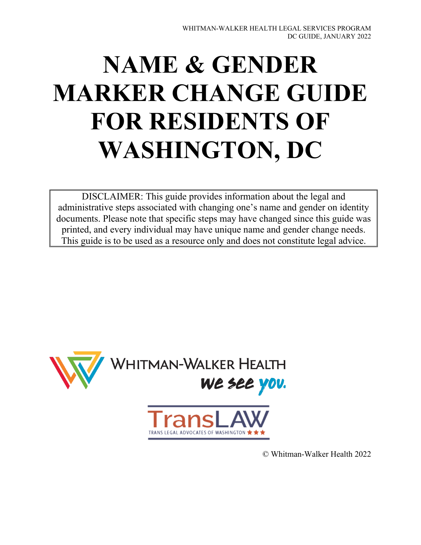# **NAME & GENDER MARKER CHANGE GUIDE FOR RESIDENTS OF WASHINGTON, DC**

DISCLAIMER: This guide provides information about the legal and administrative steps associated with changing one's name and gender on identity documents. Please note that specific steps may have changed since this guide was printed, and every individual may have unique name and gender change needs. This guide is to be used as a resource only and does not constitute legal advice.



© Whitman-Walker Health 2022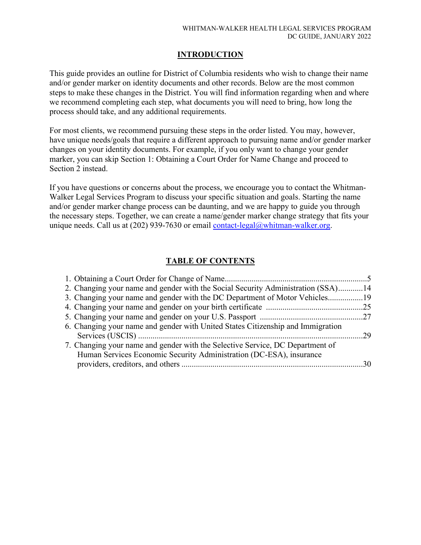### **INTRODUCTION**

This guide provides an outline for District of Columbia residents who wish to change their name and/or gender marker on identity documents and other records. Below are the most common steps to make these changes in the District. You will find information regarding when and where we recommend completing each step, what documents you will need to bring, how long the process should take, and any additional requirements.

For most clients, we recommend pursuing these steps in the order listed. You may, however, have unique needs/goals that require a different approach to pursuing name and/or gender marker changes on your identity documents. For example, if you only want to change your gender marker, you can skip Section 1: Obtaining a Court Order for Name Change and proceed to Section 2 instead.

If you have questions or concerns about the process, we encourage you to contact the Whitman-Walker Legal Services Program to discuss your specific situation and goals. Starting the name and/or gender marker change process can be daunting, and we are happy to guide you through the necessary steps. Together, we can create a name/gender marker change strategy that fits your unique needs. Call us at (202) 939-7630 or email [contact-legal@whitman-walker.org.](mailto:contact-legal@whitman-walker.org)

# **TABLE OF CONTENTS**

| 2. Changing your name and gender with the Social Security Administration (SSA)14 |  |
|----------------------------------------------------------------------------------|--|
| 3. Changing your name and gender with the DC Department of Motor Vehicles        |  |
|                                                                                  |  |
|                                                                                  |  |
| 6. Changing your name and gender with United States Citizenship and Immigration  |  |
|                                                                                  |  |
| 7. Changing your name and gender with the Selective Service, DC Department of    |  |
| Human Services Economic Security Administration (DC-ESA), insurance              |  |
|                                                                                  |  |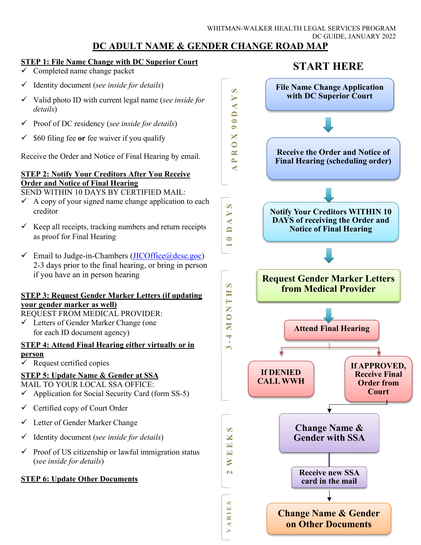#### WHITMAN-WALKER HEALTH LEGAL SERVICES PROGRAM DC GUIDE, JANUARY 2022 **DC ADULT NAME & GENDER CHANGE ROAD MAP**

### **STEP 1: File Name Change with DC Superior Court**

- Completed name change packet
- Identity document (*see inside for details*)
- Valid photo ID with current legal name (*see inside for details*)
- Proof of DC residency (*see inside for details*)
- $\checkmark$  \$60 filing fee or fee waiver if you qualify

Receive the Order and Notice of Final Hearing by email.

### **STEP 2: Notify Your Creditors After You Receive Order and Notice of Final Hearing**

SEND WITHIN 10 DAYS BY CERTIFIED MAIL:

- $\checkmark$  A copy of your signed name change application to each creditor
- $\checkmark$  Keep all receipts, tracking numbers and return receipts as proof for Final Hearing
- $\checkmark$  Email to Judge-in-Chambers [\(JICOffice@dcsc.goc\)](mailto:JICOffice@dcsc.goc) 2-3 days prior to the final hearing, or bring in person if you have an in person hearing

### **STEP 3: Request Gender Marker Letters (if updating your gender marker as well)**

REQUEST FROM MEDICAL PROVIDER:

 $\checkmark$  Letters of Gender Marker Change (one) for each ID document agency)

### **STEP 4: Attend Final Hearing either virtually or in person**

 $\checkmark$  Request certified copies

### **STEP 5: Update Name & Gender at SSA**

MAIL TO YOUR LOCAL SSA OFFICE:

- $\checkmark$  Application for Social Security Card (form SS-5)
- $\checkmark$  Certified copy of Court Order
- Letter of Gender Marker Change
- Identity document (*see inside for details*)
- $\checkmark$  Proof of US citizenship or lawful immigration status (*see inside for details*)

### **STEP 6: Update Other Documents**

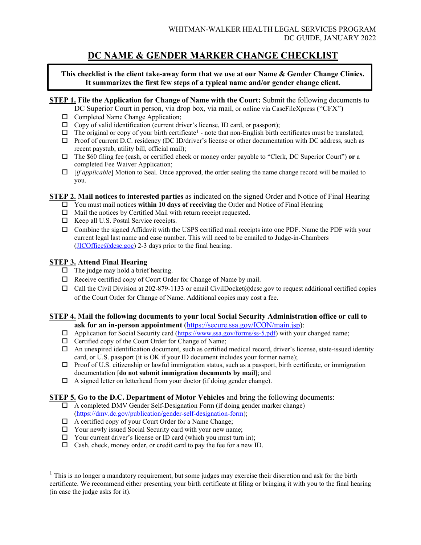# **DC NAME & GENDER MARKER CHANGE CHECKLIST**

**This checklist is the client take-away form that we use at our Name & Gender Change Clinics. It summarizes the first few steps of a typical name and/or gender change client.**

### **STEP 1. File the Application for Change of Name with the Court:** Submit the following documents to

- DC Superior Court in person, via drop box, via mail, or online via CaseFileXpress ("CFX")
- $\Box$  Completed Name Change Application;
- $\Box$  Copy of valid identification (current driver's license, ID card, or passport);
- $\Box$  The original or copy of your birth certificate<sup>[1](#page-3-0)</sup> note that non-English birth certificates must be translated;
- Proof of current D.C. residency (DC ID/driver's license or other documentation with DC address, such as recent paystub, utility bill, official mail);
- The \$60 filing fee (cash, or certified check or money order payable to "Clerk, DC Superior Court") **or** a completed Fee Waiver Application;
- [*if applicable*] Motion to Seal. Once approved, the order sealing the name change record will be mailed to you.

### **STEP 2. Mail notices to interested parties** as indicated on the signed Order and Notice of Final Hearing

- You must mail notices **within 10 days of receiving** the Order and Notice of Final Hearing
- $\Box$  Mail the notices by Certified Mail with return receipt requested.
- $\Box$  Keep all U.S. Postal Service receipts.
- $\Box$  Combine the signed Affidavit with the USPS certified mail receipts into one PDF. Name the PDF with your current legal last name and case number. This will need to be emailed to Judge-in-Chambers  $(\text{JICOffice}(\text{@desc.goc})$  2-3 days prior to the final hearing.

### **STEP 3. Attend Final Hearing**

- $\Box$  The judge may hold a brief hearing.
- $\Box$  Receive certified copy of Court Order for Change of Name by mail.
- $\Box$  Call the Civil Division at 202-879-1133 or email CivilDocket@dcsc.gov to request additional certified copies of the Court Order for Change of Name. Additional copies may cost a fee.

#### **STEP 4. Mail the following documents to your local Social Security Administration office or call to ask for an in-person appointment** [\(https://secure.ssa.gov/ICON/main.jsp\)](https://secure.ssa.gov/ICON/main.jsp):

- $\Box$  Application for Social Security card [\(https://www.ssa.gov/forms/ss-5.pdf\)](https://www.ssa.gov/forms/ss-5.pdf) with your changed name;
- Certified copy of the Court Order for Change of Name;
- An unexpired identification document, such as certified medical record, driver's license, state-issued identity card, or U.S. passport (it is OK if your ID document includes your former name);
- $\Box$  Proof of U.S. citizenship or lawful immigration status, such as a passport, birth certificate, or immigration documentation **[do not submit immigration documents by mail]**; and
- $\Box$  A signed letter on letterhead from your doctor (if doing gender change).

#### **STEP 5. Go to the D.C. Department of Motor Vehicles** and bring the following documents:

- $\Box$  A completed DMV Gender Self-Designation Form (if doing gender marker change) [\(https://dmv.dc.gov/publication/gender-self-designation-form\)](https://dmv.dc.gov/publication/gender-self-designation-form);
- $\Box$  A certified copy of your Court Order for a Name Change;
- Your newly issued Social Security card with your new name;
- $\Box$  Your current driver's license or ID card (which you must turn in);
- $\Box$  Cash, check, money order, or credit card to pay the fee for a new ID.

<span id="page-3-0"></span> $1$ . This is no longer a mandatory requirement, but some judges may exercise their discretion and ask for the birth certificate. We recommend either presenting your birth certificate at filing or bringing it with you to the final hearing (in case the judge asks for it).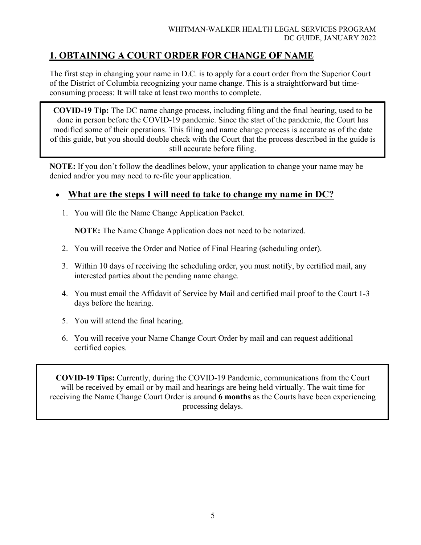# **1. OBTAINING A COURT ORDER FOR CHANGE OF NAME**

The first step in changing your name in D.C. is to apply for a court order from the Superior Court of the District of Columbia recognizing your name change. This is a straightforward but timeconsuming process: It will take at least two months to complete.

**COVID-19 Tip:** The DC name change process, including filing and the final hearing, used to be done in person before the COVID-19 pandemic. Since the start of the pandemic, the Court has modified some of their operations. This filing and name change process is accurate as of the date of this guide, but you should double check with the Court that the process described in the guide is still accurate before filing.

**NOTE:** If you don't follow the deadlines below, your application to change your name may be denied and/or you may need to re-file your application.

# • **What are the steps I will need to take to change my name in DC?**

1. You will file the Name Change Application Packet.

**NOTE:** The Name Change Application does not need to be notarized.

- 2. You will receive the Order and Notice of Final Hearing (scheduling order).
- 3. Within 10 days of receiving the scheduling order, you must notify, by certified mail, any interested parties about the pending name change.
- 4. You must email the Affidavit of Service by Mail and certified mail proof to the Court 1-3 days before the hearing.
- 5. You will attend the final hearing.
- 6. You will receive your Name Change Court Order by mail and can request additional certified copies.

**COVID-19 Tips:** Currently, during the COVID-19 Pandemic, communications from the Court will be received by email or by mail and hearings are being held virtually. The wait time for receiving the Name Change Court Order is around **6 months** as the Courts have been experiencing processing delays.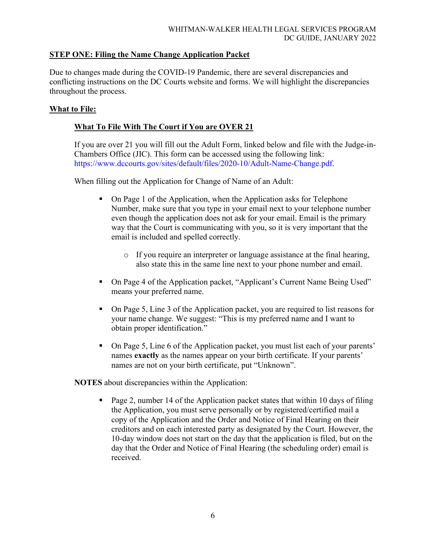### **STEP ONE: Filing the Name Change Application Packet**

Due to changes made during the COVID-19 Pandemic, there are several discrepancies and conflicting instructions on the DC Courts website and forms. We will highlight the discrepancies throughout the process.

### **What to File:**

### **What To File With The Court if You are OVER 21**

If you are over 21 you will fill out the Adult Form, linked below and file with the Judge-in-Chambers Office (JIC). This form can be accessed using the following link: [https://www.dccourts.gov/sites/default/files/2020-10/Adult-Name-Change.pdf.](https://www.dccourts.gov/sites/default/files/2020-10/Adult-Name-Change.pdf)

When filling out the Application for Change of Name of an Adult:

- On Page 1 of the Application, when the Application asks for Telephone Number, make sure that you type in your email next to your telephone number even though the application does not ask for your email. Email is the primary way that the Court is communicating with you, so it is very important that the email is included and spelled correctly.
	- o If you require an interpreter or language assistance at the final hearing, also state this in the same line next to your phone number and email.
- On Page 4 of the Application packet, "Applicant's Current Name Being Used" means your preferred name.
- On Page 5, Line 3 of the Application packet, you are required to list reasons for your name change. We suggest: "This is my preferred name and I want to obtain proper identification."
- On Page 5, Line 6 of the Application packet, you must list each of your parents' names **exactly** as the names appear on your birth certificate. If your parents' names are not on your birth certificate, put "Unknown".

**NOTES** about discrepancies within the Application:

 Page 2, number 14 of the Application packet states that within 10 days of filing the Application, you must serve personally or by registered/certified mail a copy of the Application and the Order and Notice of Final Hearing on their creditors and on each interested party as designated by the Court. However, the 10-day window does not start on the day that the application is filed, but on the day that the Order and Notice of Final Hearing (the scheduling order) email is received.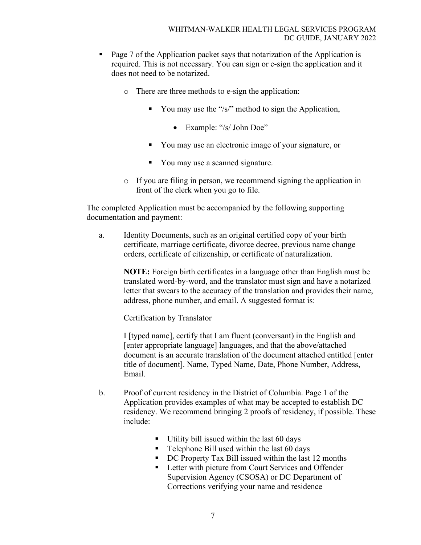- Page 7 of the Application packet says that notarization of the Application is required. This is not necessary. You can sign or e-sign the application and it does not need to be notarized.
	- o There are three methods to e-sign the application:
		- You may use the "/s/" method to sign the Application,
			- Example: "/s/ John Doe"
		- You may use an electronic image of your signature, or
		- You may use a scanned signature.
	- o If you are filing in person, we recommend signing the application in front of the clerk when you go to file.

The completed Application must be accompanied by the following supporting documentation and payment:

a. Identity Documents, such as an original certified copy of your birth certificate, marriage certificate, divorce decree, previous name change orders, certificate of citizenship, or certificate of naturalization.

**NOTE:** Foreign birth certificates in a language other than English must be translated word-by-word, and the translator must sign and have a notarized letter that swears to the accuracy of the translation and provides their name, address, phone number, and email. A suggested format is:

Certification by Translator

I [typed name], certify that I am fluent (conversant) in the English and [enter appropriate language] languages, and that the above/attached document is an accurate translation of the document attached entitled [enter title of document]. Name, Typed Name, Date, Phone Number, Address, Email.

- b. Proof of current residency in the District of Columbia. Page 1 of the Application provides examples of what may be accepted to establish DC residency. We recommend bringing 2 proofs of residency, if possible. These include:
	- $\blacksquare$  Utility bill issued within the last 60 days
	- **Telephone Bill used within the last 60 days**
	- DC Property Tax Bill issued within the last 12 months
	- **Letter with picture from Court Services and Offender** Supervision Agency (CSOSA) or DC Department of Corrections verifying your name and residence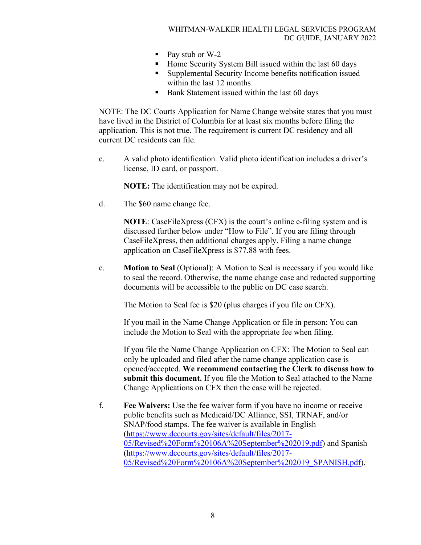- Pay stub or W-2
- Home Security System Bill issued within the last 60 days
- Supplemental Security Income benefits notification issued within the last 12 months
- Bank Statement issued within the last 60 days

NOTE: The DC Courts Application for Name Change website states that you must have lived in the District of Columbia for at least six months before filing the application. This is not true. The requirement is current DC residency and all current DC residents can file.

c. A valid photo identification. Valid photo identification includes a driver's license, ID card, or passport.

**NOTE:** The identification may not be expired.

d. The \$60 name change fee.

**NOTE:** CaseFileXpress (CFX) is the court's online e-filing system and is discussed further below under "How to File". If you are filing through CaseFileXpress, then additional charges apply. Filing a name change application on CaseFileXpress is \$77.88 with fees.

e. **Motion to Seal** (Optional): A Motion to Seal is necessary if you would like to seal the record. Otherwise, the name change case and redacted supporting documents will be accessible to the public on DC case search.

The Motion to Seal fee is \$20 (plus charges if you file on CFX).

If you mail in the Name Change Application or file in person: You can include the Motion to Seal with the appropriate fee when filing.

If you file the Name Change Application on CFX: The Motion to Seal can only be uploaded and filed after the name change application case is opened/accepted. **We recommend contacting the Clerk to discuss how to submit this document.** If you file the Motion to Seal attached to the Name Change Applications on CFX then the case will be rejected.

f. **Fee Waivers:** Use the fee waiver form if you have no income or receive public benefits such as Medicaid/DC Alliance, SSI, TRNAF, and/or SNAP/food stamps. The fee waiver is available in English [\(https://www.dccourts.gov/sites/default/files/2017-](https://www.dccourts.gov/sites/default/files/2017-05/Revised%20Form%20106A%20September%202019.pdf) [05/Revised%20Form%20106A%20September%202019.pdf\)](https://www.dccourts.gov/sites/default/files/2017-05/Revised%20Form%20106A%20September%202019.pdf) and Spanish [\(https://www.dccourts.gov/sites/default/files/2017-](https://www.dccourts.gov/sites/default/files/2017-05/Revised%20Form%20106A%20September%202019_SPANISH.pdf) [05/Revised%20Form%20106A%20September%202019\\_SPANISH.pdf\)](https://www.dccourts.gov/sites/default/files/2017-05/Revised%20Form%20106A%20September%202019_SPANISH.pdf).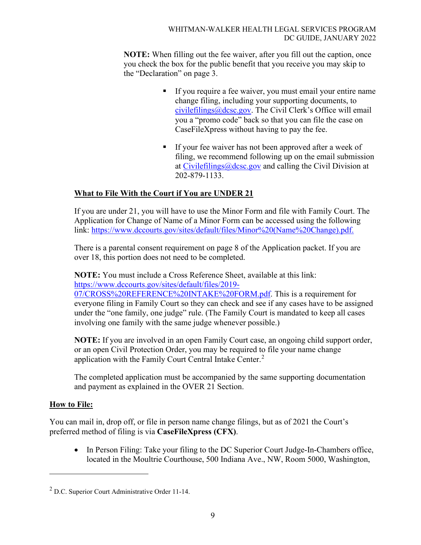**NOTE:** When filling out the fee waiver, after you fill out the caption, once you check the box for the public benefit that you receive you may skip to the "Declaration" on page 3.

- If you require a fee waiver, you must email your entire name change filing, including your supporting documents, to [civilefilings@dcsc.gov.](mailto:civilefilings@dcsc.gov) The Civil Clerk's Office will email you a "promo code" back so that you can file the case on CaseFileXpress without having to pay the fee.
- If your fee waiver has not been approved after a week of filing, we recommend following up on the email submission at [Civilefilings@dcsc.gov](mailto:Civilefilings@dcsc.gov) and calling the Civil Division at 202-879-1133.

### **What to File With the Court if You are UNDER 21**

If you are under 21, you will have to use the Minor Form and file with Family Court. The Application for Change of Name of a Minor Form can be accessed using the following link: [https://www.dccourts.gov/sites/default/files/Minor%20\(Name%20Change\).pdf.](https://www.dccourts.gov/sites/default/files/Minor%20(Name%20Change).pdf)

There is a parental consent requirement on page 8 of the Application packet. If you are over 18, this portion does not need to be completed.

**NOTE:** You must include a Cross Reference Sheet, available at this link: [https://www.dccourts.gov/sites/default/files/2019-](https://www.dccourts.gov/sites/default/files/2019-07/CROSS%20REFERENCE%20INTAKE%20FORM.pdf)

[07/CROSS%20REFERENCE%20INTAKE%20FORM.pdf.](https://www.dccourts.gov/sites/default/files/2019-07/CROSS%20REFERENCE%20INTAKE%20FORM.pdf) This is a requirement for everyone filing in Family Court so they can check and see if any cases have to be assigned under the "one family, one judge" rule. (The Family Court is mandated to keep all cases involving one family with the same judge whenever possible.)

**NOTE:** If you are involved in an open Family Court case, an ongoing child support order, or an open Civil Protection Order, you may be required to file your name change application with the Family Court Central Intake Center.<sup>[2](#page-8-0)</sup>

The completed application must be accompanied by the same supporting documentation and payment as explained in the OVER 21 Section.

### **How to File:**

You can mail in, drop off, or file in person name change filings, but as of 2021 the Court's preferred method of filing is via **CaseFileXpress (CFX)**.

• In Person Filing: Take your filing to the DC Superior Court Judge-In-Chambers office, located in the Moultrie Courthouse, 500 Indiana Ave., NW, Room 5000, Washington,

<span id="page-8-0"></span> $<sup>2</sup>$  D.C. Superior Court Administrative Order 11-14.</sup>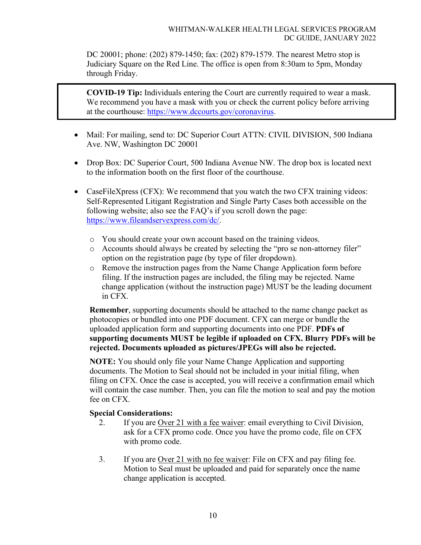DC 20001; phone: (202) 879-1450; fax: (202) 879-1579. The nearest Metro stop is Judiciary Square on the Red Line. The office is open from 8:30am to 5pm, Monday through Friday.

**COVID-19 Tip:** Individuals entering the Court are currently required to wear a mask. We recommend you have a mask with you or check the current policy before arriving at the courthouse: [https://www.dccourts.gov/coronavirus.](https://www.dccourts.gov/coronavirus)

- Mail: For mailing, send to: DC Superior Court ATTN: CIVIL DIVISION, 500 Indiana Ave. NW, Washington DC 20001
- Drop Box: DC Superior Court, 500 Indiana Avenue NW. The drop box is located next to the information booth on the first floor of the courthouse.
- CaseFileXpress (CFX): We recommend that you watch the two CFX training videos: Self-Represented Litigant Registration and Single Party Cases both accessible on the following website; also see the FAQ's if you scroll down the page: [https://www.fileandservexpress.com/dc/.](https://www.fileandservexpress.com/dc/)
	- o You should create your own account based on the training videos.
	- o Accounts should always be created by selecting the "pro se non-attorney filer" option on the registration page (by type of filer dropdown).
	- o Remove the instruction pages from the Name Change Application form before filing. If the instruction pages are included, the filing may be rejected. Name change application (without the instruction page) MUST be the leading document in CFX.

**Remember**, supporting documents should be attached to the name change packet as photocopies or bundled into one PDF document. CFX can merge or bundle the uploaded application form and supporting documents into one PDF. **PDFs of supporting documents MUST be legible if uploaded on CFX. Blurry PDFs will be rejected. Documents uploaded as pictures/JPEGs will also be rejected.**

**NOTE:** You should only file your Name Change Application and supporting documents. The Motion to Seal should not be included in your initial filing, when filing on CFX. Once the case is accepted, you will receive a confirmation email which will contain the case number. Then, you can file the motion to seal and pay the motion fee on CFX.

### **Special Considerations:**

- 2. If you are Over 21 with a fee waiver: email everything to Civil Division, ask for a CFX promo code. Once you have the promo code, file on CFX with promo code.
- 3. If you are Over 21 with no fee waiver: File on CFX and pay filing fee. Motion to Seal must be uploaded and paid for separately once the name change application is accepted.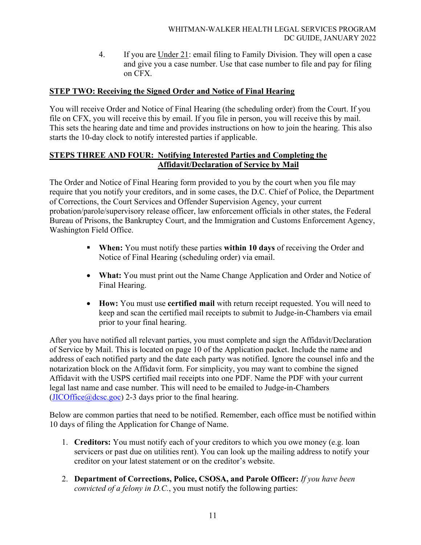4. If you are Under 21: email filing to Family Division. They will open a case and give you a case number. Use that case number to file and pay for filing on CFX.

### **STEP TWO: Receiving the Signed Order and Notice of Final Hearing**

You will receive Order and Notice of Final Hearing (the scheduling order) from the Court. If you file on CFX, you will receive this by email. If you file in person, you will receive this by mail. This sets the hearing date and time and provides instructions on how to join the hearing. This also starts the 10-day clock to notify interested parties if applicable.

### **STEPS THREE AND FOUR: Notifying Interested Parties and Completing the Affidavit/Declaration of Service by Mail**

The Order and Notice of Final Hearing form provided to you by the court when you file may require that you notify your creditors, and in some cases, the D.C. Chief of Police, the Department of Corrections, the Court Services and Offender Supervision Agency, your current probation/parole/supervisory release officer, law enforcement officials in other states, the Federal Bureau of Prisons, the Bankruptcy Court, and the Immigration and Customs Enforcement Agency, Washington Field Office.

- **When:** You must notify these parties **within 10 days** of receiving the Order and Notice of Final Hearing (scheduling order) via email.
- What: You must print out the Name Change Application and Order and Notice of Final Hearing.
- **How:** You must use **certified mail** with return receipt requested. You will need to keep and scan the certified mail receipts to submit to Judge-in-Chambers via email prior to your final hearing.

After you have notified all relevant parties, you must complete and sign the Affidavit/Declaration of Service by Mail. This is located on page 10 of the Application packet. Include the name and address of each notified party and the date each party was notified. Ignore the counsel info and the notarization block on the Affidavit form. For simplicity, you may want to combine the signed Affidavit with the USPS certified mail receipts into one PDF. Name the PDF with your current legal last name and case number. This will need to be emailed to Judge-in-Chambers  $(JICOffice@desc.google)$  2-3 days prior to the final hearing.

Below are common parties that need to be notified. Remember, each office must be notified within 10 days of filing the Application for Change of Name.

- 1. **Creditors:** You must notify each of your creditors to which you owe money (e.g. loan servicers or past due on utilities rent). You can look up the mailing address to notify your creditor on your latest statement or on the creditor's website.
- 2. **Department of Corrections, Police, CSOSA, and Parole Officer:** *If you have been convicted of a felony in D.C.*, you must notify the following parties: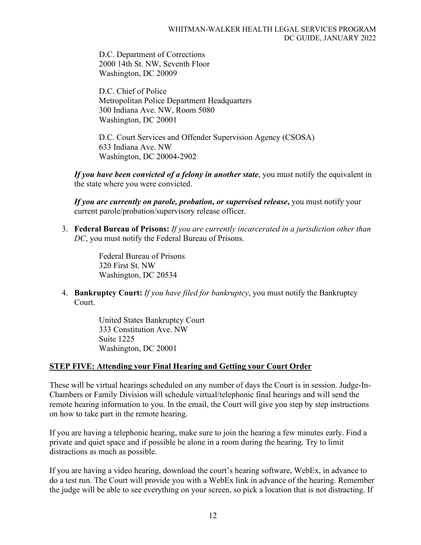D.C. Department of Corrections 2000 14th St. NW, Seventh Floor Washington, DC 20009

D.C. Chief of Police Metropolitan Police Department Headquarters 300 Indiana Ave. NW, Room 5080 Washington, DC 20001

D.C. Court Services and Offender Supervision Agency (CSOSA) 633 Indiana Ave. NW Washington, DC 20004-2902

*If you have been convicted of a felony in another state*, you must notify the equivalent in the state where you were convicted.

*If you are currently on parole, probation, or supervised release***,** you must notify your current parole/probation/supervisory release officer.

3. **Federal Bureau of Prisons:** *If you are currently incarcerated in a jurisdiction other than DC*, you must notify the Federal Bureau of Prisons.

> Federal Bureau of Prisons 320 First St. NW Washington, DC 20534

4. **Bankruptcy Court:** *If you have filed for bankruptcy*, you must notify the Bankruptcy Court.

> United States Bankruptcy Court 333 Constitution Ave. NW Suite 1225 Washington, DC 20001

### **STEP FIVE: Attending your Final Hearing and Getting your Court Order**

These will be virtual hearings scheduled on any number of days the Court is in session. Judge-In-Chambers or Family Division will schedule virtual/telephonic final hearings and will send the remote hearing information to you. In the email, the Court will give you step by step instructions on how to take part in the remote hearing.

If you are having a telephonic hearing, make sure to join the hearing a few minutes early. Find a private and quiet space and if possible be alone in a room during the hearing. Try to limit distractions as much as possible.

If you are having a video hearing, download the court's hearing software, WebEx, in advance to do a test run. The Court will provide you with a WebEx link in advance of the hearing. Remember the judge will be able to see everything on your screen, so pick a location that is not distracting. If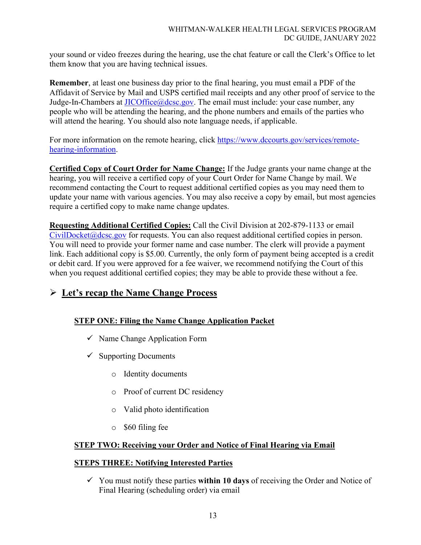your sound or video freezes during the hearing, use the chat feature or call the Clerk's Office to let them know that you are having technical issues.

**Remember**, at least one business day prior to the final hearing, you must email a PDF of the Affidavit of Service by Mail and USPS certified mail receipts and any other proof of service to the Judge-In-Chambers at  $\text{JICOffice}(\overline{\omega} \text{dcsc.gov})$ . The email must include: your case number, any people who will be attending the hearing, and the phone numbers and emails of the parties who will attend the hearing. You should also note language needs, if applicable.

For more information on the remote hearing, click [https://www.dccourts.gov/services/remote](https://www.dccourts.gov/services/remote-hearing-information)[hearing-information.](https://www.dccourts.gov/services/remote-hearing-information)

**Certified Copy of Court Order for Name Change:** If the Judge grants your name change at the hearing, you will receive a certified copy of your Court Order for Name Change by mail. We recommend contacting the Court to request additional certified copies as you may need them to update your name with various agencies. You may also receive a copy by email, but most agencies require a certified copy to make name change updates.

**Requesting Additional Certified Copies:** Call the Civil Division at 202-879-1133 or email  $CivilDocket@desc.gov$  for requests. You can also request additional certified copies in person. You will need to provide your former name and case number. The clerk will provide a payment link. Each additional copy is \$5.00. Currently, the only form of payment being accepted is a credit or debit card. If you were approved for a fee waiver, we recommend notifying the Court of this when you request additional certified copies; they may be able to provide these without a fee.

# **Let's recap the Name Change Process**

# **STEP ONE: Filing the Name Change Application Packet**

- $\checkmark$  Name Change Application Form
- $\checkmark$  Supporting Documents
	- o Identity documents
	- o Proof of current DC residency
	- o Valid photo identification
	- o \$60 filing fee

### **STEP TWO: Receiving your Order and Notice of Final Hearing via Email**

### **STEPS THREE: Notifying Interested Parties**

 $\checkmark$  You must notify these parties **within 10 days** of receiving the Order and Notice of Final Hearing (scheduling order) via email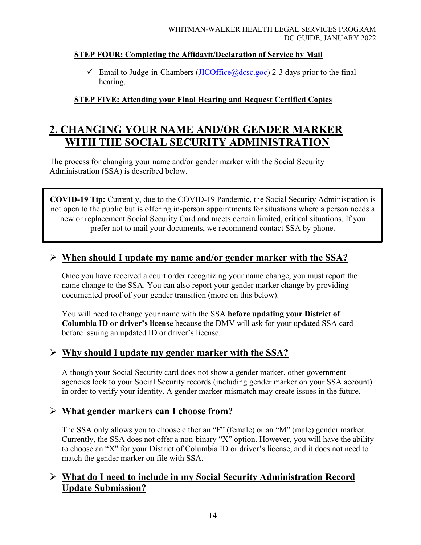### **STEP FOUR: Completing the Affidavit/Declaration of Service by Mail**

 $\checkmark$  Email to Judge-in-Chambers [\(JICOffice@dcsc.goc\)](mailto:JICOffice@dcsc.goc) 2-3 days prior to the final hearing.

# **STEP FIVE: Attending your Final Hearing and Request Certified Copies**

# **2. CHANGING YOUR NAME AND/OR GENDER MARKER WITH THE SOCIAL SECURITY ADMINISTRATION**

The process for changing your name and/or gender marker with the Social Security Administration (SSA) is described below.

**COVID-19 Tip:** Currently, due to the COVID-19 Pandemic, the Social Security Administration is not open to the public but is offering in-person appointments for situations where a person needs a new or replacement Social Security Card and meets certain limited, critical situations. If you prefer not to mail your documents, we recommend contact SSA by phone.

# **When should I update my name and/or gender marker with the SSA?**

Once you have received a court order recognizing your name change, you must report the name change to the SSA. You can also report your gender marker change by providing documented proof of your gender transition (more on this below).

You will need to change your name with the SSA **before updating your District of Columbia ID or driver's license** because the DMV will ask for your updated SSA card before issuing an updated ID or driver's license.

# **Why should I update my gender marker with the SSA?**

Although your Social Security card does not show a gender marker, other government agencies look to your Social Security records (including gender marker on your SSA account) in order to verify your identity. A gender marker mismatch may create issues in the future.

# **What gender markers can I choose from?**

The SSA only allows you to choose either an "F" (female) or an "M" (male) gender marker. Currently, the SSA does not offer a non-binary "X" option. However, you will have the ability to choose an "X" for your District of Columbia ID or driver's license, and it does not need to match the gender marker on file with SSA.

# **What do I need to include in my Social Security Administration Record Update Submission?**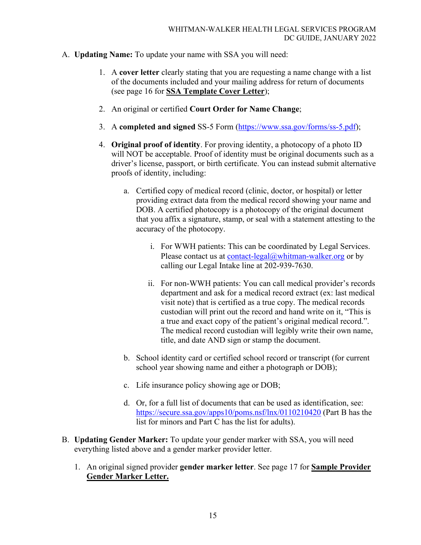- A. **Updating Name:** To update your name with SSA you will need:
	- 1. A **cover letter** clearly stating that you are requesting a name change with a list of the documents included and your mailing address for return of documents (see page 16 for **SSA Template Cover Letter**);
	- 2. An original or certified **Court Order for Name Change**;
	- 3. A **completed and signed** SS-5 Form [\(https://www.ssa.gov/forms/ss-5.pdf\)](https://www.ssa.gov/forms/ss-5.pdf);
	- 4. **Original proof of identity**. For proving identity, a photocopy of a photo ID will NOT be acceptable. Proof of identity must be original documents such as a driver's license, passport, or birth certificate. You can instead submit alternative proofs of identity, including:
		- a. Certified copy of medical record (clinic, doctor, or hospital) or letter providing extract data from the medical record showing your name and DOB. A certified photocopy is a photocopy of the original document that you affix a signature, stamp, or seal with a statement attesting to the accuracy of the photocopy.
			- i. For WWH patients: This can be coordinated by Legal Services. Please contact us at [contact-legal@whitman-walker.org](mailto:contact-legal@whitman-walker.org) or by calling our Legal Intake line at 202-939-7630.
			- ii. For non-WWH patients: You can call medical provider's records department and ask for a medical record extract (ex: last medical visit note) that is certified as a true copy. The medical records custodian will print out the record and hand write on it, "This is a true and exact copy of the patient's original medical record.". The medical record custodian will legibly write their own name, title, and date AND sign or stamp the document.
		- b. School identity card or certified school record or transcript (for current school year showing name and either a photograph or DOB);
		- c. Life insurance policy showing age or DOB;
		- d. Or, for a full list of documents that can be used as identification, see: <https://secure.ssa.gov/apps10/poms.nsf/lnx/0110210420> (Part B has the list for minors and Part C has the list for adults).
- B. **Updating Gender Marker:** To update your gender marker with SSA, you will need everything listed above and a gender marker provider letter.
	- 1. An original signed provider **gender marker letter**. See page 17 for **Sample Provider Gender Marker Letter.**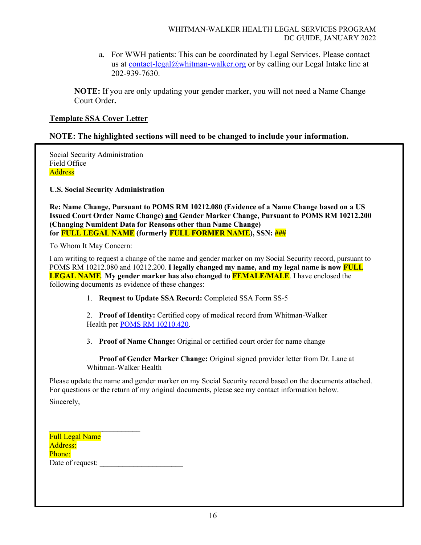a. For WWH patients: This can be coordinated by Legal Services. Please contact us at [contact-legal@whitman-walker.org](mailto:contact-legal@whitman-walker.org) or by calling our Legal Intake line at 202-939-7630.

**NOTE:** If you are only updating your gender marker, you will not need a Name Change Court Order**.**

### **Template SSA Cover Letter**

### **NOTE: The highlighted sections will need to be changed to include your information.**

Social Security Administration Field Office **Address** 

**U.S. Social Security Administration**

**Re: Name Change, Pursuant to POMS RM 10212.080 (Evidence of a Name Change based on a US Issued Court Order Name Change) and Gender Marker Change, Pursuant to POMS RM 10212.200 (Changing Numident Data for Reasons other than Name Change) for FULL LEGAL NAME (formerly FULL FORMER NAME), SSN: ###** 

To Whom It May Concern:

I am writing to request a change of the name and gender marker on my Social Security record, pursuant to POMS RM 10212.080 and 10212.200. **I legally changed my name, and my legal name is now FULL LEGAL NAME**. **My gender marker has also changed to FEMALE/MALE**. I have enclosed the following documents as evidence of these changes:

1. **Request to Update SSA Record:** Completed SSA Form SS-5

2. **Proof of Identity:** Certified copy of medical record from Whitman-Walker Health per POMS [RM 10210.420.](https://secure.ssa.gov/apps10/poms.nsf/lnx/0110210420)

3. **Proof of Name Change:** Original or certified court order for name change

4. **Proof of Gender Marker Change:** Original signed provider letter from Dr. Lane at Whitman-Walker Health

Please update the name and gender marker on my Social Security record based on the documents attached. For questions or the return of my original documents, please see my contact information below.

Sincerely,

| <b>Full Legal Name</b> |  |
|------------------------|--|
| Address:               |  |
| Phone:                 |  |
| Date of request:       |  |

\_\_\_\_\_\_\_\_\_\_\_\_\_\_\_\_\_\_\_\_\_\_\_\_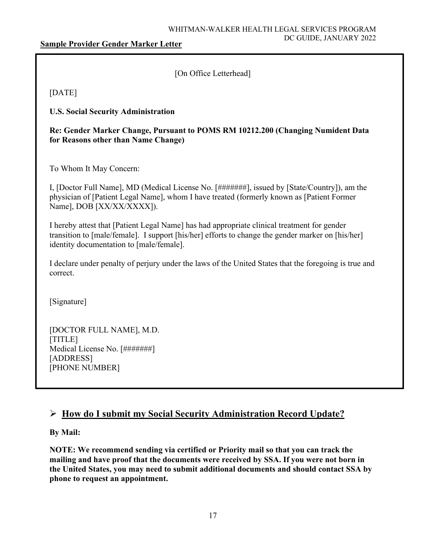### **Sample Provider Gender Marker Letter**

[On Office Letterhead]

[DATE]

**U.S. Social Security Administration**

**Re: Gender Marker Change, Pursuant to POMS RM 10212.200 (Changing Numident Data for Reasons other than Name Change)**

To Whom It May Concern:

I, [Doctor Full Name], MD (Medical License No. [#######], issued by [State/Country]), am the physician of [Patient Legal Name], whom I have treated (formerly known as [Patient Former Name], DOB [XX/XX/XXXX]).

I hereby attest that [Patient Legal Name] has had appropriate clinical treatment for gender transition to [male/female]. I support [his/her] efforts to change the gender marker on [his/her] identity documentation to [male/female].

I declare under penalty of perjury under the laws of the United States that the foregoing is true and correct.

[Signature]

[DOCTOR FULL NAME], M.D. [TITLE] Medical License No. [#######] [ADDRESS] [PHONE NUMBER]

# **How do I submit my Social Security Administration Record Update?**

**By Mail:** 

**NOTE: We recommend sending via certified or Priority mail so that you can track the mailing and have proof that the documents were received by SSA. If you were not born in the United States, you may need to submit additional documents and should contact SSA by phone to request an appointment.**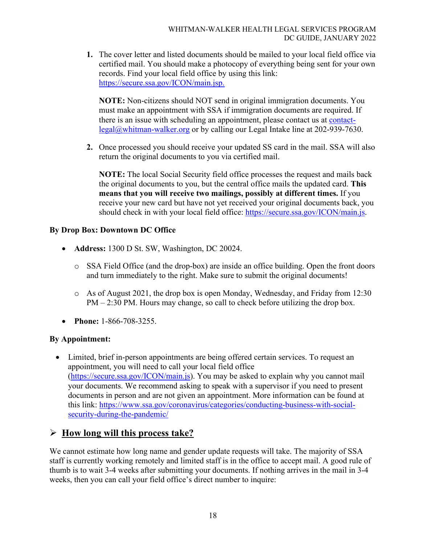**1.** The cover letter and listed documents should be mailed to your local field office via certified mail. You should make a photocopy of everything being sent for your own records. Find your local field office by using this link: [https://secure.ssa.gov/ICON/main.jsp.](https://secure.ssa.gov/ICON/main.jsp)

**NOTE:** Non-citizens should NOT send in original immigration documents. You must make an appointment with SSA if immigration documents are required. If there is an issue with scheduling an appointment, please contact us at [contact](mailto:contact-legal@whitman-walker.org)[legal@whitman-walker.org](mailto:contact-legal@whitman-walker.org) or by calling our Legal Intake line at 202-939-7630.

**2.** Once processed you should receive your updated SS card in the mail. SSA will also return the original documents to you via certified mail.

**NOTE:** The local Social Security field office processes the request and mails back the original documents to you, but the central office mails the updated card. **This means that you will receive two mailings, possibly at different times.** If you receive your new card but have not yet received your original documents back, you should check in with your local field office: [https://secure.ssa.gov/ICON/main.js.](https://secure.ssa.gov/ICON/main.js)

### **By Drop Box: Downtown DC Office**

- **Address:** 1300 D St. SW, Washington, DC 20024.
	- o SSA Field Office (and the drop-box) are inside an office building. Open the front doors and turn immediately to the right. Make sure to submit the original documents!
	- o As of August 2021, the drop box is open Monday, Wednesday, and Friday from 12:30 PM – 2:30 PM. Hours may change, so call to check before utilizing the drop box.
- **Phone:** 1-866-708-3255.

### **By Appointment:**

• Limited, brief in-person appointments are being offered certain services. To request an appointment, you will need to call your local field office [\(https://secure.ssa.gov/ICON/main.js\)](https://secure.ssa.gov/ICON/main.js). You may be asked to explain why you cannot mail your documents. We recommend asking to speak with a supervisor if you need to present documents in person and are not given an appointment. More information can be found at this link: [https://www.ssa.gov/coronavirus/categories/conducting-business-with-social](https://www.ssa.gov/coronavirus/categories/conducting-business-with-social-security-during-the-pandemic/)[security-during-the-pandemic/](https://www.ssa.gov/coronavirus/categories/conducting-business-with-social-security-during-the-pandemic/)

# **How long will this process take?**

We cannot estimate how long name and gender update requests will take. The majority of SSA staff is currently working remotely and limited staff is in the office to accept mail. A good rule of thumb is to wait 3-4 weeks after submitting your documents. If nothing arrives in the mail in 3-4 weeks, then you can call your field office's direct number to inquire: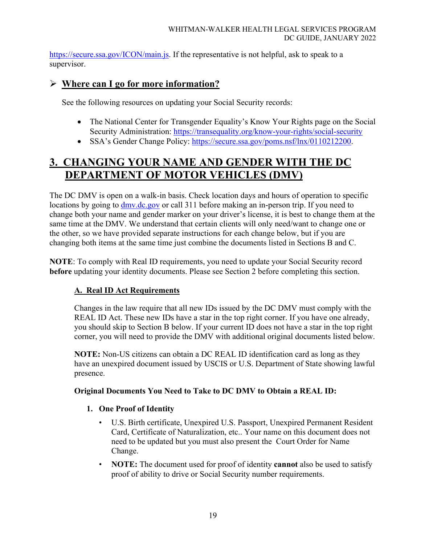[https://secure.ssa.gov/ICON/main.js.](https://secure.ssa.gov/ICON/main.js) If the representative is not helpful, ask to speak to a supervisor.

# **Where can I go for more information?**

See the following resources on updating your Social Security records:

- The National Center for Transgender Equality's Know Your Rights page on the Social Security Administration:<https://transequality.org/know-your-rights/social-security>
- SSA's Gender Change Policy: [https://secure.ssa.gov/poms.nsf/lnx/0110212200.](https://secure.ssa.gov/poms.nsf/lnx/0110212200)

# **3. CHANGING YOUR NAME AND GENDER WITH THE DC DEPARTMENT OF MOTOR VEHICLES (DMV)**

The DC DMV is open on a walk-in basis. Check location days and hours of operation to specific locations by going to  $\frac{dmv}{dc}$  gov or call 311 before making an in-person trip. If you need to change both your name and gender marker on your driver's license, it is best to change them at the same time at the DMV. We understand that certain clients will only need/want to change one or the other, so we have provided separate instructions for each change below, but if you are changing both items at the same time just combine the documents listed in Sections B and C.

**NOTE**: To comply with Real ID requirements, you need to update your Social Security record **before** updating your identity documents. Please see Section 2 before completing this section.

### **A. Real ID Act Requirements**

Changes in the law require that all new IDs issued by the DC DMV must comply with the REAL ID Act. These new IDs have a star in the top right corner. If you have one already, you should skip to Section B below. If your current ID does not have a star in the top right corner, you will need to provide the DMV with additional original documents listed below.

**NOTE:** Non-US citizens can obtain a DC REAL ID identification card as long as they have an unexpired document issued by USCIS or U.S. Department of State showing lawful presence.

### **Original Documents You Need to Take to DC DMV to Obtain a REAL ID:**

### **1. One Proof of Identity**

- U.S. Birth certificate, Unexpired U.S. Passport, Unexpired Permanent Resident Card, Certificate of Naturalization, etc.. Your name on this document does not need to be updated but you must also present the Court Order for Name Change.
- **NOTE:** The document used for proof of identity **cannot** also be used to satisfy proof of ability to drive or Social Security number requirements.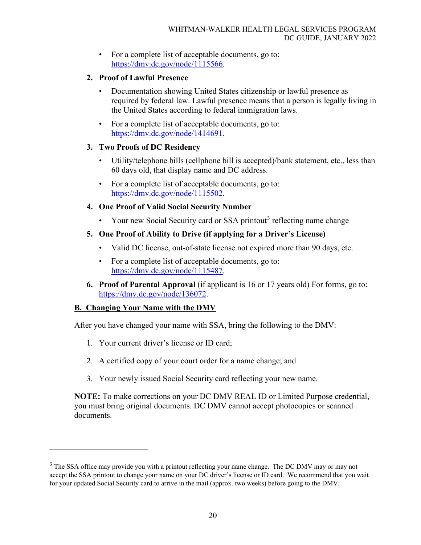• For a complete list of acceptable documents, go to: [https://dmv.dc.gov/node/1115566.](https://dmv.dc.gov/node/1115566)

### **2. Proof of Lawful Presence**

- Documentation showing United States citizenship or lawful presence as required by federal law. Lawful presence means that a person is legally living in the United States according to federal immigration laws.
- For a complete list of acceptable documents, go to: [https://dmv.dc.gov/node/1414691.](https://dmv.dc.gov/node/1414691)

### **3. Two Proofs of DC Residency**

- Utility/telephone bills (cellphone bill is accepted)/bank statement, etc., less than 60 days old, that display name and DC address.
- For a complete list of acceptable documents, go to: [https://dmv.dc.gov/node/1115502.](https://dmv.dc.gov/node/1115502)

### **4. One Proof of Valid Social Security Number**

• Your new Social Security card or SSA printout<sup>[3](#page-19-0)</sup> reflecting name change

### **5. One Proof of Ability to Drive (if applying for a Driver's License)**

- Valid DC license, out-of-state license not expired more than 90 days, etc.
- For a complete list of acceptable documents, go to: [https://dmv.dc.gov/node/1115487.](https://dmv.dc.gov/node/1115487)
- **6. Proof of Parental Approval** (if applicant is 16 or 17 years old) For forms, go to: [https://dmv.dc.gov/node/136072.](https://dmv.dc.gov/node/136072)

### **B. Changing Your Name with the DMV**

After you have changed your name with SSA, bring the following to the DMV:

- 1. Your current driver's license or ID card;
- 2. A certified copy of your court order for a name change; and
- 3. Your newly issued Social Security card reflecting your new name.

**NOTE:** To make corrections on your DC DMV REAL ID or Limited Purpose credential, you must bring original documents. DC DMV cannot accept photocopies or scanned documents.

<span id="page-19-0"></span><sup>&</sup>lt;sup>3</sup> The SSA office may provide you with a printout reflecting your name change. The DC DMV may or may not accept the SSA printout to change your name on your DC driver's license or ID card. We recommend that you wait for your updated Social Security card to arrive in the mail (approx. two weeks) before going to the DMV.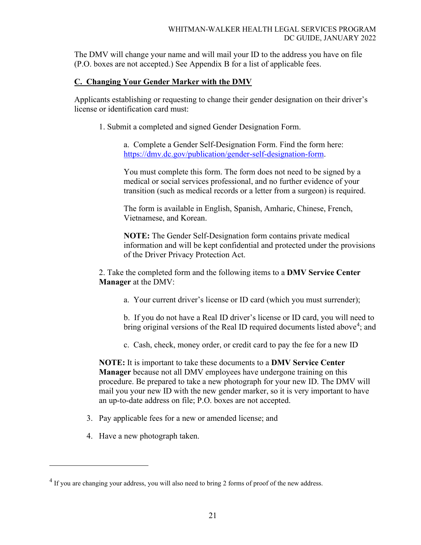The DMV will change your name and will mail your ID to the address you have on file (P.O. boxes are not accepted.) See Appendix B for a list of applicable fees.

### **C. Changing Your Gender Marker with the DMV**

Applicants establishing or requesting to change their gender designation on their driver's license or identification card must:

1. Submit a completed and signed Gender Designation Form.

a. Complete a Gender Self-Designation Form. Find the form here: [https://dmv.dc.gov/publication/gender-self-designation-form.](https://dmv.dc.gov/publication/gender-self-designation-form)

You must complete this form. The form does not need to be signed by a medical or social services professional, and no further evidence of your transition (such as medical records or a letter from a surgeon) is required.

The form is available in English, Spanish, Amharic, Chinese, French, Vietnamese, and Korean.

**NOTE:** The Gender Self-Designation form contains private medical information and will be kept confidential and protected under the provisions of the Driver Privacy Protection Act.

2. Take the completed form and the following items to a **DMV Service Center Manager** at the DMV:

a. Your current driver's license or ID card (which you must surrender);

b. If you do not have a Real ID driver's license or ID card, you will need to bring original versions of the Real ID required documents listed above<sup>[4](#page-20-0)</sup>; and

c. Cash, check, money order, or credit card to pay the fee for a new ID

**NOTE:** It is important to take these documents to a **DMV Service Center Manager** because not all DMV employees have undergone training on this procedure. Be prepared to take a new photograph for your new ID. The DMV will mail you your new ID with the new gender marker, so it is very important to have an up-to-date address on file; P.O. boxes are not accepted.

- 3. Pay applicable fees for a new or amended license; and
- 4. Have a new photograph taken.

<span id="page-20-0"></span><sup>&</sup>lt;sup>4</sup> If you are changing your address, you will also need to bring 2 forms of proof of the new address.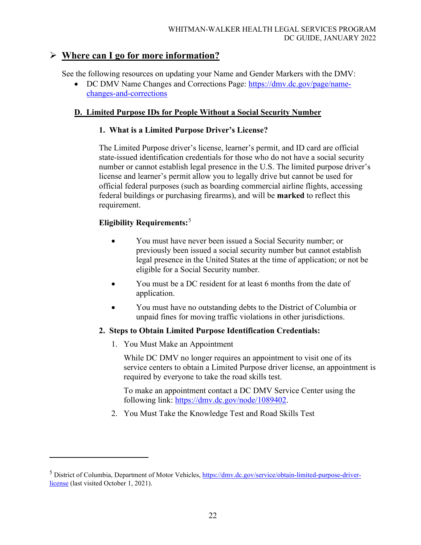# **Where can I go for more information?**

See the following resources on updating your Name and Gender Markers with the DMV:

• DC DMV Name Changes and Corrections Page: [https://dmv.dc.gov/page/name](https://dmv.dc.gov/page/name-changes-and-corrections)[changes-and-corrections](https://dmv.dc.gov/page/name-changes-and-corrections)

### **D. Limited Purpose IDs for People Without a Social Security Number**

### **1. What is a Limited Purpose Driver's License?**

The Limited Purpose driver's license, learner's permit, and ID card are official state-issued identification credentials for those who do not have a social security number or cannot establish legal presence in the U.S. The limited purpose driver's license and learner's permit allow you to legally drive but cannot be used for official federal purposes (such as boarding commercial airline flights, accessing federal buildings or purchasing firearms), and will be **marked** to reflect this requirement.

### **Eligibility Requirements:**[5](#page-21-0)

- You must have never been issued a Social Security number; or previously been issued a social security number but cannot establish legal presence in the United States at the time of application; or not be eligible for a Social Security number.
- You must be a DC resident for at least 6 months from the date of application.
- You must have no outstanding debts to the District of Columbia or unpaid fines for moving traffic violations in other jurisdictions.

### **2. Steps to Obtain Limited Purpose Identification Credentials:**

1. You Must Make an Appointment

While DC DMV no longer requires an appointment to visit one of its service centers to obtain a Limited Purpose driver license, an appointment is required by everyone to take the road skills test.

To make an appointment contact a DC DMV Service Center using the following link: [https://dmv.dc.gov/node/1089402.](https://dmv.dc.gov/node/1089402)

2. You Must Take the Knowledge Test and Road Skills Test

<span id="page-21-0"></span><sup>&</sup>lt;sup>5</sup> District of Columbia, Department of Motor Vehicles, [https://dmv.dc.gov/service/obtain-limited-purpose-driver](https://dmv.dc.gov/service/obtain-limited-purpose-driver-license)[license](https://dmv.dc.gov/service/obtain-limited-purpose-driver-license) (last visited October 1, 2021).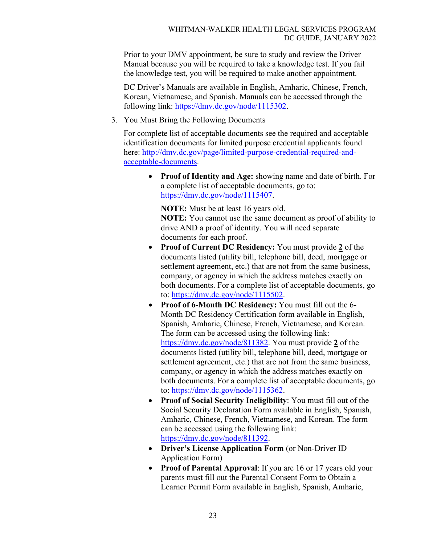Prior to your DMV appointment, be sure to study and review the Driver Manual because you will be required to take a knowledge test. If you fail the knowledge test, you will be required to make another appointment.

DC Driver's Manuals are available in English, Amharic, Chinese, French, Korean, Vietnamese, and Spanish. Manuals can be accessed through the following link: [https://dmv.dc.gov/node/1115302.](https://dmv.dc.gov/node/1115302)

3. You Must Bring the Following Documents

For complete list of acceptable documents see the required and acceptable identification documents for limited purpose credential applicants found here: [http://dmv.dc.gov/page/limited-purpose-credential-required-and](http://dmv.dc.gov/page/limited-purpose-credential-required-and-acceptable-documents)[acceptable-documents.](http://dmv.dc.gov/page/limited-purpose-credential-required-and-acceptable-documents)

• **Proof of Identity and Age:** showing name and date of birth. For a complete list of acceptable documents, go to: [https://dmv.dc.gov/node/1115407.](https://dmv.dc.gov/node/1115407)

**NOTE:** Must be at least 16 years old. **NOTE:** You cannot use the same document as proof of ability to drive AND a proof of identity. You will need separate documents for each proof.

- **Proof of Current DC Residency:** You must provide **2** of the documents listed (utility bill, telephone bill, deed, mortgage or settlement agreement, etc.) that are not from the same business, company, or agency in which the address matches exactly on both documents. For a complete list of acceptable documents, go to: [https://dmv.dc.gov/node/1115502.](https://dmv.dc.gov/node/1115502)
- **Proof of 6-Month DC Residency:** You must fill out the 6- Month DC Residency Certification form available in English, Spanish, Amharic, Chinese, French, Vietnamese, and Korean. The form can be accessed using the following link: [https://dmv.dc.gov/node/811382.](https://dmv.dc.gov/node/811382) You must provide **2** of the documents listed (utility bill, telephone bill, deed, mortgage or settlement agreement, etc.) that are not from the same business, company, or agency in which the address matches exactly on both documents. For a complete list of acceptable documents, go to: [https://dmv.dc.gov/node/1115362.](https://dmv.dc.gov/node/1115362)
- **Proof of Social Security Ineligibility**: You must fill out of the Social Security Declaration Form available in English, Spanish, Amharic, Chinese, French, Vietnamese, and Korean. The form can be accessed using the following link: [https://dmv.dc.gov/node/811392.](https://dmv.dc.gov/node/811392)
- **Driver's License Application Form** (or Non-Driver ID Application Form)
- **Proof of Parental Approval**: If you are 16 or 17 years old your parents must fill out the Parental Consent Form to Obtain a Learner Permit Form available in English, Spanish, Amharic,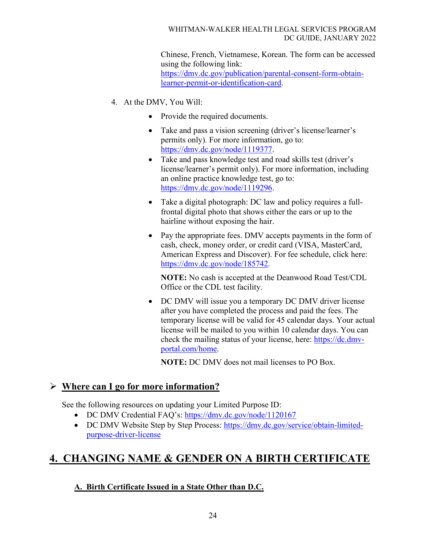### WHITMAN-WALKER HEALTH LEGAL SERVICES PROGRAM DC GUIDE, JANUARY 2022

Chinese, French, Vietnamese, Korean. The form can be accessed using the following link: [https://dmv.dc.gov/publication/parental-consent-form-obtain](https://dmv.dc.gov/publication/parental-consent-form-obtain-learner-permit-or-identification-card)[learner-permit-or-identification-card.](https://dmv.dc.gov/publication/parental-consent-form-obtain-learner-permit-or-identification-card)

- 4. At the DMV, You Will:
	- Provide the required documents.
	- Take and pass a vision screening (driver's license/learner's permits only). For more information, go to: [https://dmv.dc.gov/node/1119377.](https://dmv.dc.gov/node/1119377)
	- Take and pass knowledge test and road skills test (driver's license/learner's permit only). For more information, including an online practice knowledge test, go to: [https://dmv.dc.gov/node/1119296.](https://dmv.dc.gov/node/1119296)
	- Take a digital photograph: DC law and policy requires a fullfrontal digital photo that shows either the ears or up to the hairline without exposing the hair.
	- Pay the appropriate fees. DMV accepts payments in the form of cash, check, money order, or credit card (VISA, MasterCard, American Express and Discover). For fee schedule, click here: [https://dmv.dc.gov/node/185742.](https://dmv.dc.gov/node/185742)

**NOTE:** No cash is accepted at the Deanwood Road Test/CDL Office or the CDL test facility.

• DC DMV will issue you a temporary DC DMV driver license after you have completed the process and paid the fees. The temporary license will be valid for 45 calendar days. Your actual license will be mailed to you within 10 calendar days. You can check the mailing status of your license, here: [https://dc.dmv](https://dc.dmv-portal.com/home)[portal.com/home.](https://dc.dmv-portal.com/home)

**NOTE:** DC DMV does not mail licenses to PO Box.

# **Where can I go for more information?**

See the following resources on updating your Limited Purpose ID:

- DC DMV Credential FAQ's:<https://dmv.dc.gov/node/1120167>
- DC DMV Website Step by Step Process: [https://dmv.dc.gov/service/obtain-limited](https://dmv.dc.gov/service/obtain-limited-purpose-driver-license)[purpose-driver-license](https://dmv.dc.gov/service/obtain-limited-purpose-driver-license)

# **4. CHANGING NAME & GENDER ON A BIRTH CERTIFICATE**

### **A. Birth Certificate Issued in a State Other than D.C.**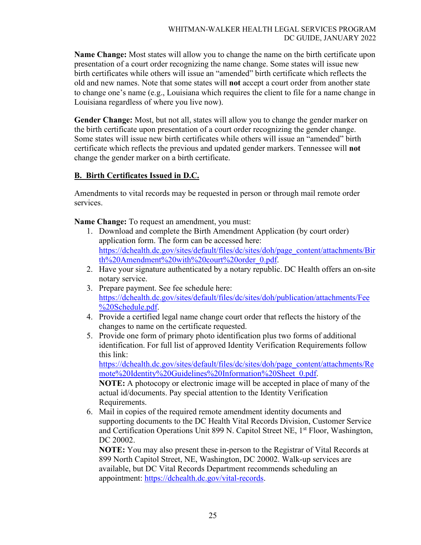**Name Change:** Most states will allow you to change the name on the birth certificate upon presentation of a court order recognizing the name change. Some states will issue new birth certificates while others will issue an "amended" birth certificate which reflects the old and new names. Note that some states will **not** accept a court order from another state to change one's name (e.g., Louisiana which requires the client to file for a name change in Louisiana regardless of where you live now).

**Gender Change:** Most, but not all, states will allow you to change the gender marker on the birth certificate upon presentation of a court order recognizing the gender change. Some states will issue new birth certificates while others will issue an "amended" birth certificate which reflects the previous and updated gender markers. Tennessee will **not** change the gender marker on a birth certificate.

### **B. Birth Certificates Issued in D.C.**

Amendments to vital records may be requested in person or through mail remote order services.

**Name Change:** To request an amendment, you must:

- 1. Download and complete the Birth Amendment Application (by court order) application form. The form can be accessed here: [https://dchealth.dc.gov/sites/default/files/dc/sites/doh/page\\_content/attachments/Bir](https://dchealth.dc.gov/sites/default/files/dc/sites/doh/page_content/attachments/Birth%20Amendment%20with%20court%20order_0.pdf) [th%20Amendment%20with%20court%20order\\_0.pdf.](https://dchealth.dc.gov/sites/default/files/dc/sites/doh/page_content/attachments/Birth%20Amendment%20with%20court%20order_0.pdf)
- 2. Have your signature authenticated by a notary republic. DC Health offers an on-site notary service.
- 3. Prepare payment. See fee schedule here: [https://dchealth.dc.gov/sites/default/files/dc/sites/doh/publication/attachments/Fee](https://dchealth.dc.gov/sites/default/files/dc/sites/doh/publication/attachments/Fee%20Schedule.pdf) [%20Schedule.pdf.](https://dchealth.dc.gov/sites/default/files/dc/sites/doh/publication/attachments/Fee%20Schedule.pdf)
- 4. Provide a certified legal name change court order that reflects the history of the changes to name on the certificate requested.
- 5. Provide one form of primary photo identification plus two forms of additional identification. For full list of approved Identity Verification Requirements follow this link:

[https://dchealth.dc.gov/sites/default/files/dc/sites/doh/page\\_content/attachments/Re](https://dchealth.dc.gov/sites/default/files/dc/sites/doh/page_content/attachments/Remote%20Identity%20Guidelines%20Information%20Sheet_0.pdf) [mote%20Identity%20Guidelines%20Information%20Sheet\\_0.pdf.](https://dchealth.dc.gov/sites/default/files/dc/sites/doh/page_content/attachments/Remote%20Identity%20Guidelines%20Information%20Sheet_0.pdf)

**NOTE:** A photocopy or electronic image will be accepted in place of many of the actual id/documents. Pay special attention to the Identity Verification Requirements.

6. Mail in copies of the required remote amendment identity documents and supporting documents to the DC Health Vital Records Division, Customer Service and Certification Operations Unit 899 N. Capitol Street NE, 1<sup>st</sup> Floor, Washington, DC 20002.

**NOTE:** You may also present these in-person to the Registrar of Vital Records at 899 North Capitol Street, NE, Washington, DC 20002. Walk-up services are available, but DC Vital Records Department recommends scheduling an appointment: [https://dchealth.dc.gov/vital-records.](https://dchealth.dc.gov/vital-records)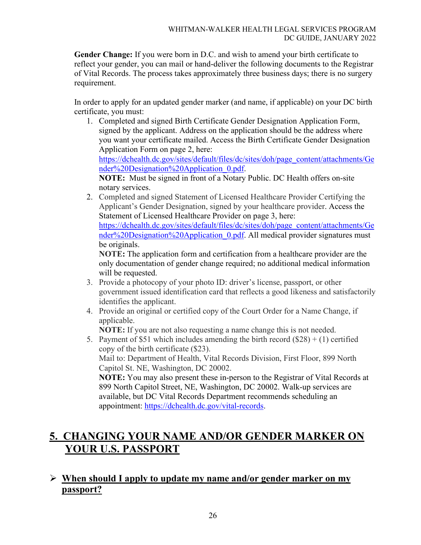**Gender Change:** If you were born in D.C. and wish to amend your birth certificate to reflect your gender, you can mail or hand-deliver the following documents to the Registrar of Vital Records. The process takes approximately three business days; there is no surgery requirement.

In order to apply for an updated gender marker (and name, if applicable) on your DC birth certificate, you must:

- 1. Completed and signed Birth Certificate Gender Designation Application Form, signed by the applicant. Address on the application should be the address where you want your certificate mailed. Access the Birth Certificate Gender Designation Application Form on page 2, here: [https://dchealth.dc.gov/sites/default/files/dc/sites/doh/page\\_content/attachments/Ge](https://dchealth.dc.gov/sites/default/files/dc/sites/doh/page_content/attachments/Gender%20Designation%20Application_0.pdf) [nder%20Designation%20Application\\_0.pdf.](https://dchealth.dc.gov/sites/default/files/dc/sites/doh/page_content/attachments/Gender%20Designation%20Application_0.pdf) **NOTE:** Must be signed in front of a Notary Public. DC Health offers on-site notary services.
- 2. Completed and signed Statement of Licensed Healthcare Provider Certifying the Applicant's Gender Designation, signed by your healthcare provider. Access the Statement of Licensed Healthcare Provider on page 3, here: [https://dchealth.dc.gov/sites/default/files/dc/sites/doh/page\\_content/attachments/Ge](https://dchealth.dc.gov/sites/default/files/dc/sites/doh/page_content/attachments/Gender%20Designation%20Application_0.pdf) [nder%20Designation%20Application\\_0.pdf.](https://dchealth.dc.gov/sites/default/files/dc/sites/doh/page_content/attachments/Gender%20Designation%20Application_0.pdf) All medical provider signatures must be originals.

**NOTE:** The application form and certification from a healthcare provider are the only documentation of gender change required; no additional medical information will be requested.

- 3. Provide a photocopy of your photo ID: driver's license, passport, or other government issued identification card that reflects a good likeness and satisfactorily identifies the applicant.
- 4. Provide an original or certified copy of the Court Order for a Name Change, if applicable.

**NOTE:** If you are not also requesting a name change this is not needed.

5. Payment of \$51 which includes amending the birth record  $(\$28) + (1)$  certified copy of the birth certificate (\$23). Mail to: Department of Health, Vital Records Division, First Floor, 899 North Capitol St. NE, Washington, DC 20002.

**NOTE:** You may also present these in-person to the Registrar of Vital Records at 899 North Capitol Street, NE, Washington, DC 20002. Walk-up services are available, but DC Vital Records Department recommends scheduling an appointment: [https://dchealth.dc.gov/vital-records.](https://dchealth.dc.gov/vital-records)

# **5. CHANGING YOUR NAME AND/OR GENDER MARKER ON YOUR U.S. PASSPORT**

# **When should I apply to update my name and/or gender marker on my passport?**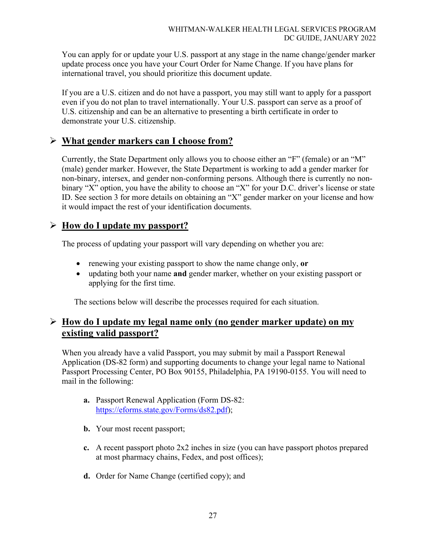You can apply for or update your U.S. passport at any stage in the name change/gender marker update process once you have your Court Order for Name Change. If you have plans for international travel, you should prioritize this document update.

If you are a U.S. citizen and do not have a passport, you may still want to apply for a passport even if you do not plan to travel internationally. Your U.S. passport can serve as a proof of U.S. citizenship and can be an alternative to presenting a birth certificate in order to demonstrate your U.S. citizenship.

# **What gender markers can I choose from?**

Currently, the State Department only allows you to choose either an "F" (female) or an "M" (male) gender marker. However, the State Department is working to add a gender marker for non-binary, intersex, and gender non-conforming persons. Although there is currently no nonbinary "X" option, you have the ability to choose an "X" for your D.C. driver's license or state ID. See section 3 for more details on obtaining an "X" gender marker on your license and how it would impact the rest of your identification documents.

### **How do I update my passport?**

The process of updating your passport will vary depending on whether you are:

- renewing your existing passport to show the name change only, **or**
- updating both your name **and** gender marker, whether on your existing passport or applying for the first time.

The sections below will describe the processes required for each situation.

# **How do I update my legal name only (no gender marker update) on my existing valid passport?**

When you already have a valid Passport, you may submit by mail a Passport Renewal Application (DS-82 form) and supporting documents to change your legal name to National Passport Processing Center, PO Box 90155, Philadelphia, PA 19190-0155. You will need to mail in the following:

- **a.** Passport Renewal Application (Form DS-82: [https://eforms.state.gov/Forms/ds82.pdf\)](https://eforms.state.gov/Forms/ds82.pdf);
- **b.** Your most recent passport;
- **c.** A recent passport photo 2x2 inches in size (you can have passport photos prepared at most pharmacy chains, Fedex, and post offices);
- **d.** Order for Name Change (certified copy); and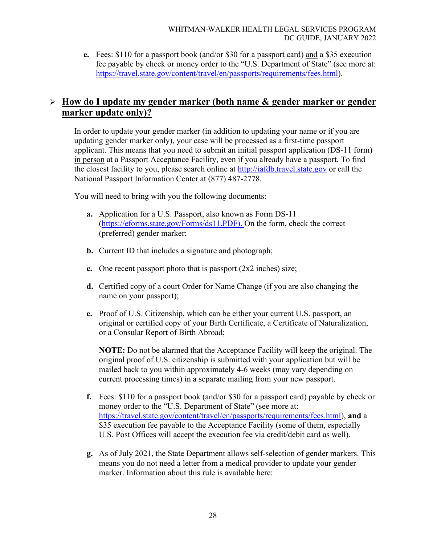**e.** Fees: \$110 for a passport book (and/or \$30 for a passport card) and a \$35 execution fee payable by check or money order to the "U.S. Department of State" (see more at: [https://travel.state.gov/content/travel/en/passports/requirements/fees.html\)](https://travel.state.gov/content/travel/en/passports/requirements/fees.html).

# **How do I update my gender marker (both name & gender marker or gender marker update only)?**

In order to update your gender marker (in addition to updating your name or if you are updating gender marker only), your case will be processed as a first-time passport applicant. This means that you need to submit an initial passport application (DS-11 form) in person at a Passport Acceptance Facility, even if you already have a passport. To find the closest facility to you, please search online at [http://iafdb.travel.state.gov](http://iafdb.travel.state.gov/) or call the National Passport Information Center at (877) 487-2778.

You will need to bring with you the following documents:

- **a.** Application for a U.S. Passport, also known as Form DS-11 [\(https://eforms.state.gov/Forms/ds11.PDF\)](https://eforms.state.gov/Forms/ds11.PDF). On the form, check the correct (preferred) gender marker;
- **b.** Current ID that includes a signature and photograph;
- **c.** One recent passport photo that is passport (2x2 inches) size;
- **d.** Certified copy of a court Order for Name Change (if you are also changing the name on your passport);
- **e.** Proof of U.S. Citizenship, which can be either your current U.S. passport, an original or certified copy of your Birth Certificate, a Certificate of Naturalization, or a Consular Report of Birth Abroad;

**NOTE:** Do not be alarmed that the Acceptance Facility will keep the original. The original proof of U.S. citizenship is submitted with your application but will be mailed back to you within approximately 4-6 weeks (may vary depending on current processing times) in a separate mailing from your new passport.

- **f.** Fees: \$110 for a passport book (and/or \$30 for a passport card) payable by check or money order to the "U.S. Department of State" (see more at: [https://travel.state.gov/content/travel/en/passports/requirements/fees.html\)](https://travel.state.gov/content/travel/en/passports/requirements/fees.html), **and** a \$35 execution fee payable to the Acceptance Facility (some of them, especially U.S. Post Offices will accept the execution fee via credit/debit card as well).
- **g.** As of July 2021, the State Department allows self-selection of gender markers. This means you do not need a letter from a medical provider to update your gender marker. Information about this rule is available here: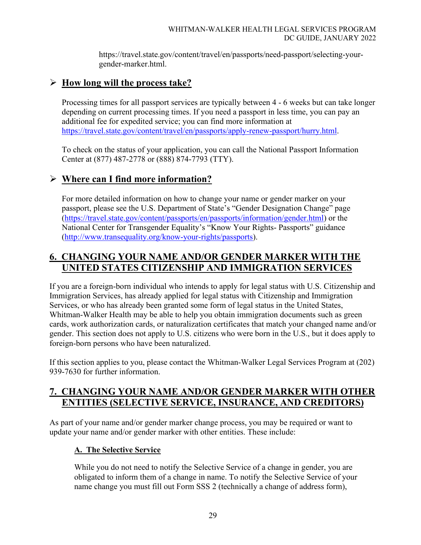https://travel.state.gov/content/travel/en/passports/need-passport/selecting-yourgender-marker.html.

# **How long will the process take?**

Processing times for all passport services are typically between 4 - 6 weeks but can take longer depending on current processing times. If you need a passport in less time, you can pay an additional fee for expedited service; you can find more information at [https://travel.state.gov/content/travel/en/passports/apply-renew-passport/hurry.html.](https://travel.state.gov/content/travel/en/passports/apply-renew-passport/hurry.html)

To check on the status of your application, you can call the National Passport Information Center at (877) 487-2778 or (888) 874-7793 (TTY).

# **Where can I find more information?**

For more detailed information on how to change your name or gender marker on your passport, please see the U.S. Department of State's "Gender Designation Change" page [\(https://travel.state.gov/content/passports/en/passports/information/gender.html\)](https://travel.state.gov/content/passports/en/passports/information/gender.html) or the National Center for Transgender Equality's "Know Your Rights- Passports" guidance [\(http://www.transequality.org/know-your-rights/passports\)](http://www.transequality.org/know-your-rights/passports).

# **6. CHANGING YOUR NAME AND/OR GENDER MARKER WITH THE UNITED STATES CITIZENSHIP AND IMMIGRATION SERVICES**

If you are a foreign-born individual who intends to apply for legal status with U.S. Citizenship and Immigration Services, has already applied for legal status with Citizenship and Immigration Services, or who has already been granted some form of legal status in the United States, Whitman-Walker Health may be able to help you obtain immigration documents such as green cards, work authorization cards, or naturalization certificates that match your changed name and/or gender. This section does not apply to U.S. citizens who were born in the U.S., but it does apply to foreign-born persons who have been naturalized.

If this section applies to you, please contact the Whitman-Walker Legal Services Program at (202) 939-7630 for further information.

# **7. CHANGING YOUR NAME AND/OR GENDER MARKER WITH OTHER ENTITIES (SELECTIVE SERVICE, INSURANCE, AND CREDITORS)**

As part of your name and/or gender marker change process, you may be required or want to update your name and/or gender marker with other entities. These include:

### **A. The Selective Service**

While you do not need to notify the Selective Service of a change in gender, you are obligated to inform them of a change in name. To notify the Selective Service of your name change you must fill out Form SSS 2 (technically a change of address form),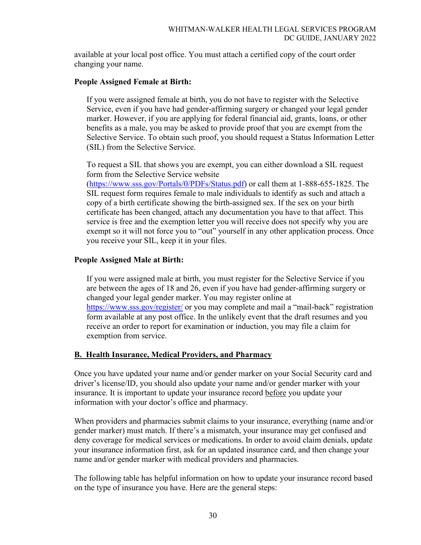available at your local post office. You must attach a certified copy of the court order changing your name.

### **People Assigned Female at Birth:**

If you were assigned female at birth, you do not have to register with the Selective Service, even if you have had gender-affirming surgery or changed your legal gender marker. However, if you are applying for federal financial aid, grants, loans, or other benefits as a male, you may be asked to provide proof that you are exempt from the Selective Service. To obtain such proof, you should request a Status Information Letter (SIL) from the Selective Service.

To request a SIL that shows you are exempt, you can either download a SIL request form from the Selective Service website

[\(https://www.sss.gov/Portals/0/PDFs/Status.pdf\)](https://www.sss.gov/Portals/0/PDFs/Status.pdf) or call them at 1-888-655-1825. The SIL request form requires female to male individuals to identify as such and attach a copy of a birth certificate showing the birth-assigned sex. If the sex on your birth certificate has been changed, attach any documentation you have to that affect. This service is free and the exemption letter you will receive does not specify why you are exempt so it will not force you to "out" yourself in any other application process. Once you receive your SIL, keep it in your files.

### **People Assigned Male at Birth:**

If you were assigned male at birth, you must register for the Selective Service if you are between the ages of 18 and 26, even if you have had gender-affirming surgery or changed your legal gender marker. You may register online at <https://www.sss.gov/register/> or you may complete and mail a "mail-back" registration form available at any post office. In the unlikely event that the draft resumes and you receive an order to report for examination or induction, you may file a claim for exemption from service.

### **B. Health Insurance, Medical Providers, and Pharmacy**

Once you have updated your name and/or gender marker on your Social Security card and driver's license/ID, you should also update your name and/or gender marker with your insurance. It is important to update your insurance record before you update your information with your doctor's office and pharmacy.

When providers and pharmacies submit claims to your insurance, everything (name and/or gender marker) must match. If there's a mismatch, your insurance may get confused and deny coverage for medical services or medications. In order to avoid claim denials, update your insurance information first, ask for an updated insurance card, and then change your name and/or gender marker with medical providers and pharmacies.

The following table has helpful information on how to update your insurance record based on the type of insurance you have. Here are the general steps: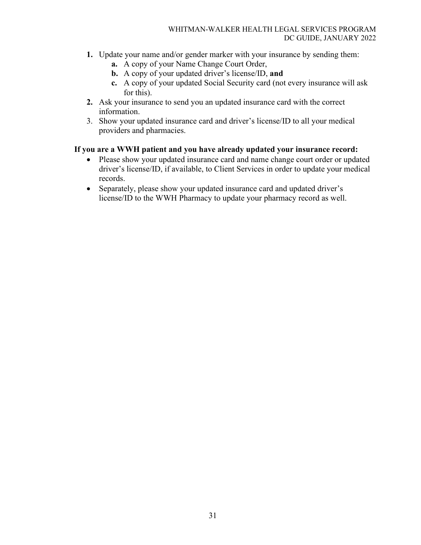- **1.** Update your name and/or gender marker with your insurance by sending them:
	- **a.** A copy of your Name Change Court Order,
	- **b.** A copy of your updated driver's license/ID, **and**
	- **c.** A copy of your updated Social Security card (not every insurance will ask for this).
- **2.** Ask your insurance to send you an updated insurance card with the correct information.
- 3. Show your updated insurance card and driver's license/ID to all your medical providers and pharmacies.

### **If you are a WWH patient and you have already updated your insurance record:**

- Please show your updated insurance card and name change court order or updated driver's license/ID, if available, to Client Services in order to update your medical records.
- Separately, please show your updated insurance card and updated driver's license/ID to the WWH Pharmacy to update your pharmacy record as well.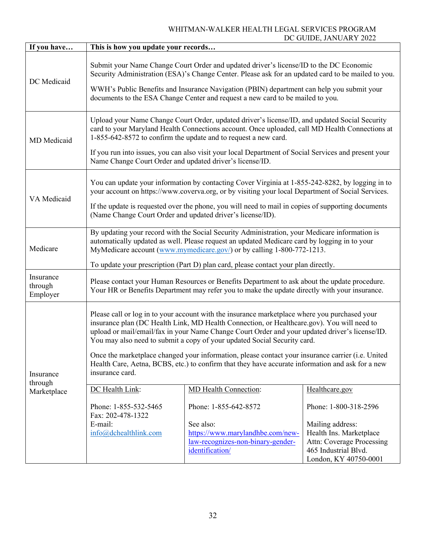### WHITMAN-WALKER HEALTH LEGAL SERVICES PROGRAM DC GUIDE, JANUARY 2022

| If you have                      | This is how you update your records                                                                                                                                                                                                                                                                                                                                                                                                                                                                                                                                                                   |                                                                                                                                |                                                                                                                                                           |  |  |
|----------------------------------|-------------------------------------------------------------------------------------------------------------------------------------------------------------------------------------------------------------------------------------------------------------------------------------------------------------------------------------------------------------------------------------------------------------------------------------------------------------------------------------------------------------------------------------------------------------------------------------------------------|--------------------------------------------------------------------------------------------------------------------------------|-----------------------------------------------------------------------------------------------------------------------------------------------------------|--|--|
| DC Medicaid                      | Submit your Name Change Court Order and updated driver's license/ID to the DC Economic<br>Security Administration (ESA)'s Change Center. Please ask for an updated card to be mailed to you.<br>WWH's Public Benefits and Insurance Navigation (PBIN) department can help you submit your<br>documents to the ESA Change Center and request a new card to be mailed to you.                                                                                                                                                                                                                           |                                                                                                                                |                                                                                                                                                           |  |  |
| MD Medicaid                      | Upload your Name Change Court Order, updated driver's license/ID, and updated Social Security<br>card to your Maryland Health Connections account. Once uploaded, call MD Health Connections at<br>1-855-642-8572 to confirm the update and to request a new card.<br>If you run into issues, you can also visit your local Department of Social Services and present your<br>Name Change Court Order and updated driver's license/ID.                                                                                                                                                                |                                                                                                                                |                                                                                                                                                           |  |  |
| VA Medicaid                      | You can update your information by contacting Cover Virginia at 1-855-242-8282, by logging in to<br>your account on https://www.coverva.org, or by visiting your local Department of Social Services.<br>If the update is requested over the phone, you will need to mail in copies of supporting documents<br>(Name Change Court Order and updated driver's license/ID).                                                                                                                                                                                                                             |                                                                                                                                |                                                                                                                                                           |  |  |
| Medicare                         | By updating your record with the Social Security Administration, your Medicare information is<br>automatically updated as well. Please request an updated Medicare card by logging in to your<br>MyMedicare account (www.mymedicare.gov/) or by calling 1-800-772-1213.<br>To update your prescription (Part D) plan card, please contact your plan directly.                                                                                                                                                                                                                                         |                                                                                                                                |                                                                                                                                                           |  |  |
| Insurance<br>through<br>Employer | Please contact your Human Resources or Benefits Department to ask about the update procedure.<br>Your HR or Benefits Department may refer you to make the update directly with your insurance.                                                                                                                                                                                                                                                                                                                                                                                                        |                                                                                                                                |                                                                                                                                                           |  |  |
| Insurance<br>through             | Please call or log in to your account with the insurance marketplace where you purchased your<br>insurance plan (DC Health Link, MD Health Connection, or Healthcare.gov). You will need to<br>upload or mail/email/fax in your Name Change Court Order and your updated driver's license/ID.<br>You may also need to submit a copy of your updated Social Security card.<br>Once the marketplace changed your information, please contact your insurance carrier (i.e. United<br>Health Care, Aetna, BCBS, etc.) to confirm that they have accurate information and ask for a new<br>insurance card. |                                                                                                                                |                                                                                                                                                           |  |  |
| Marketplace                      | DC Health Link:                                                                                                                                                                                                                                                                                                                                                                                                                                                                                                                                                                                       | MD Health Connection:                                                                                                          | Healthcare.gov                                                                                                                                            |  |  |
|                                  | Phone: 1-855-532-5465<br>Fax: 202-478-1322<br>E-mail:<br>info@dchealthlink.com                                                                                                                                                                                                                                                                                                                                                                                                                                                                                                                        | Phone: 1-855-642-8572<br>See also:<br>https://www.marylandhbe.com/new-<br>law-recognizes-non-binary-gender-<br>identification/ | Phone: 1-800-318-2596<br>Mailing address:<br>Health Ins. Marketplace<br><b>Attn: Coverage Processing</b><br>465 Industrial Blvd.<br>London, KY 40750-0001 |  |  |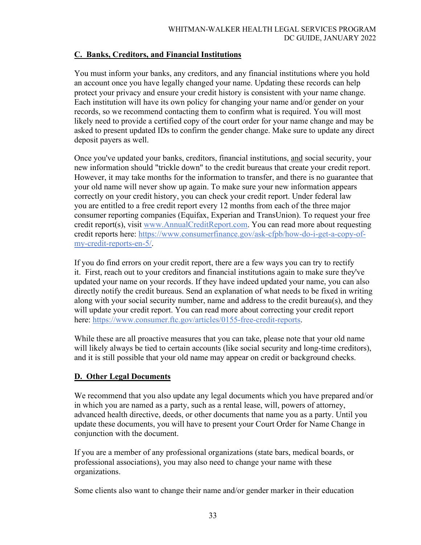### **C. Banks, Creditors, and Financial Institutions**

You must inform your banks, any creditors, and any financial institutions where you hold an account once you have legally changed your name. Updating these records can help protect your privacy and ensure your credit history is consistent with your name change. Each institution will have its own policy for changing your name and/or gender on your records, so we recommend contacting them to confirm what is required. You will most likely need to provide a certified copy of the court order for your name change and may be asked to present updated IDs to confirm the gender change. Make sure to update any direct deposit payers as well.

Once you've updated your banks, creditors, financial institutions, and social security, your new information should "trickle down" to the credit bureaus that create your credit report. However, it may take months for the information to transfer, and there is no guarantee that your old name will never show up again. To make sure your new information appears correctly on your credit history, you can check your credit report. Under federal law you are entitled to a free credit report every 12 months from each of the three major consumer reporting companies (Equifax, Experian and TransUnion). To request your free credit report(s), visit [www.AnnualCreditReport.com.](http://www.annualcreditreport.com/) You can read more about requesting credit reports here: [https://www.consumerfinance.gov/ask-cfpb/how-do-i-get-a-copy-of](https://www.consumerfinance.gov/ask-cfpb/how-do-i-get-a-copy-of-my-credit-reports-en-5/)[my-credit-reports-en-5/.](https://www.consumerfinance.gov/ask-cfpb/how-do-i-get-a-copy-of-my-credit-reports-en-5/)

If you do find errors on your credit report, there are a few ways you can try to rectify it. First, reach out to your creditors and financial institutions again to make sure they've updated your name on your records. If they have indeed updated your name, you can also directly notify the credit bureaus. Send an explanation of what needs to be fixed in writing along with your social security number, name and address to the credit bureau(s), and they will update your credit report. You can read more about correcting your credit report here: [https://www.consumer.ftc.gov/articles/0155-free-credit-reports.](https://www.consumer.ftc.gov/articles/0155-free-credit-reports)

While these are all proactive measures that you can take, please note that your old name will likely always be tied to certain accounts (like social security and long-time creditors), and it is still possible that your old name may appear on credit or background checks.

### **D. Other Legal Documents**

We recommend that you also update any legal documents which you have prepared and/or in which you are named as a party, such as a rental lease, will, powers of attorney, advanced health directive, deeds, or other documents that name you as a party. Until you update these documents, you will have to present your Court Order for Name Change in conjunction with the document.

If you are a member of any professional organizations (state bars, medical boards, or professional associations), you may also need to change your name with these organizations.

Some clients also want to change their name and/or gender marker in their education